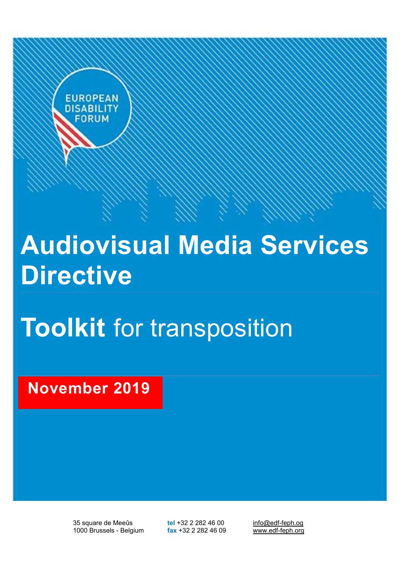

# **Audiovisual Media Services Directive**

# **Toolkit** for transposition

**November 2019**

35 square de Meeûs **tel** +32 2 282 46 00 info@edf-feph.og<br>1000 Brussels - Belgium **fax** +32 2 282 46 09 www.edf-feph.org 1000 Brussels - Belgium **fax** +32 2 282 46 09 www.edf-feph.org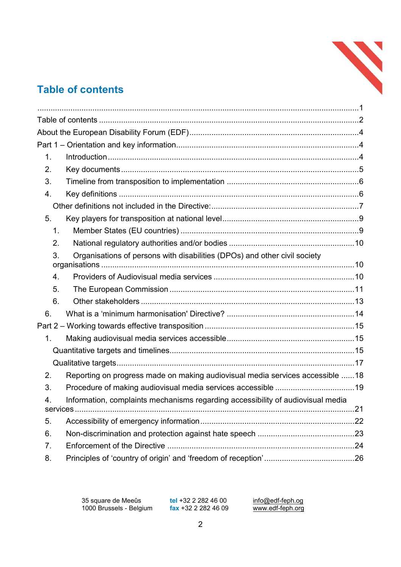

# **Table of contents**

| $\mathbf 1$ . |                                                                                 |  |
|---------------|---------------------------------------------------------------------------------|--|
| 2.            |                                                                                 |  |
| 3.            |                                                                                 |  |
| 4.            |                                                                                 |  |
|               |                                                                                 |  |
| 5.            |                                                                                 |  |
| 1.            |                                                                                 |  |
| 2.            |                                                                                 |  |
| 3.            | Organisations of persons with disabilities (DPOs) and other civil society       |  |
| 4.            |                                                                                 |  |
| 5.            |                                                                                 |  |
| 6.            |                                                                                 |  |
| 6.            |                                                                                 |  |
|               |                                                                                 |  |
| 1.            |                                                                                 |  |
|               |                                                                                 |  |
|               |                                                                                 |  |
| 2.            | Reporting on progress made on making audiovisual media services accessible 18   |  |
| 3.            |                                                                                 |  |
| 4.            | Information, complaints mechanisms regarding accessibility of audiovisual media |  |
|               |                                                                                 |  |
| 5.            |                                                                                 |  |
| 6.            |                                                                                 |  |
| 7.            |                                                                                 |  |
| 8.            |                                                                                 |  |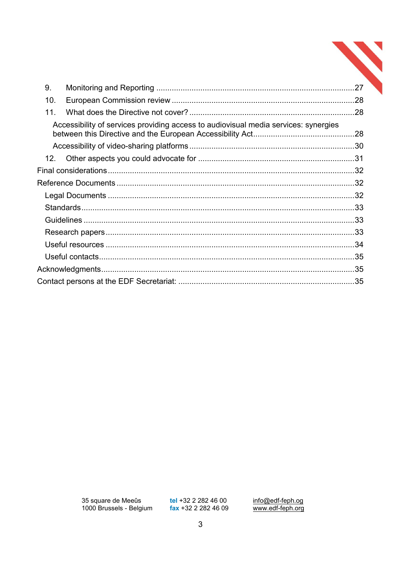| 9.              |                                                                                     |  |  |
|-----------------|-------------------------------------------------------------------------------------|--|--|
| 10.             |                                                                                     |  |  |
| 11.             |                                                                                     |  |  |
|                 | Accessibility of services providing access to audiovisual media services: synergies |  |  |
|                 |                                                                                     |  |  |
|                 |                                                                                     |  |  |
| 12 <sup>7</sup> |                                                                                     |  |  |
|                 |                                                                                     |  |  |
|                 |                                                                                     |  |  |
|                 |                                                                                     |  |  |
|                 |                                                                                     |  |  |
|                 |                                                                                     |  |  |
|                 |                                                                                     |  |  |
|                 |                                                                                     |  |  |
|                 |                                                                                     |  |  |
|                 |                                                                                     |  |  |
|                 |                                                                                     |  |  |

tel +32 2 282 46 00<br>fax +32 2 282 46 09

info@edf-feph.og<br>www.edf-feph.org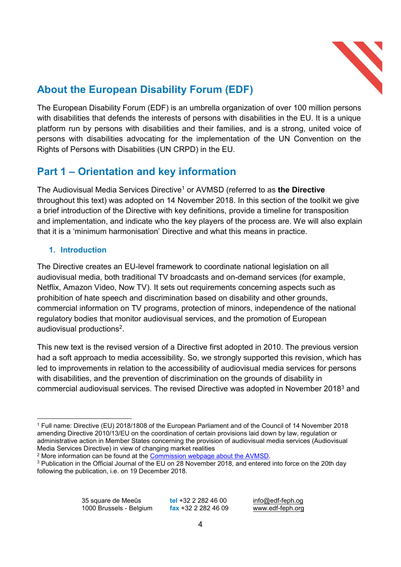

# **About the European Disability Forum (EDF)**

The European Disability Forum (EDF) is an umbrella organization of over 100 million persons with disabilities that defends the interests of persons with disabilities in the EU. It is a unique platform run by persons with disabilities and their families, and is a strong, united voice of persons with disabilities advocating for the implementation of the UN Convention on the Rights of Persons with Disabilities (UN CRPD) in the EU.

# **Part 1 – Orientation and key information**

The Audiovisual Media Services Directive<sup>1</sup> or AVMSD (referred to as the Directive throughout this text) was adopted on 14 November 2018. In this section of the toolkit we give a brief introduction of the Directive with key definitions, provide a timeline for transposition and implementation, and indicate who the key players of the process are. We will also explain that it is a 'minimum harmonisation' Directive and what this means in practice.

## **1. Introduction**

The Directive creates an EU-level framework to coordinate national legislation on all audiovisual media, both traditional TV broadcasts and on-demand services (for example, Netflix, Amazon Video, Now TV). It sets out requirements concerning aspects such as prohibition of hate speech and discrimination based on disability and other grounds, commercial information on TV programs, protection of minors, independence of the national regulatory bodies that monitor audiovisual services, and the promotion of European audiovisual productions2.

This new text is the revised version of a Directive first adopted in 2010. The previous version had a soft approach to media accessibility. So, we strongly supported this revision, which has led to improvements in relation to the accessibility of audiovisual media services for persons with disabilities, and the prevention of discrimination on the grounds of disability in commercial audiovisual services. The revised Directive was adopted in November 20183 and

 <sup>1</sup> Full name: Directive (EU) 2018/1808 of the European Parliament and of the Council of 14 November 2018 amending Directive 2010/13/EU on the coordination of certain provisions laid down by law, regulation or administrative action in Member States concerning the provision of audiovisual media services (Audiovisual Media Services Directive) in view of changing market realities

<sup>&</sup>lt;sup>2</sup> More information can be found at the Commission webpage about the AVMSD.

<sup>3</sup> Publication in the Official Journal of the EU on 28 November 2018, and entered into force on the 20th day following the publication, i.e. on 19 December 2018.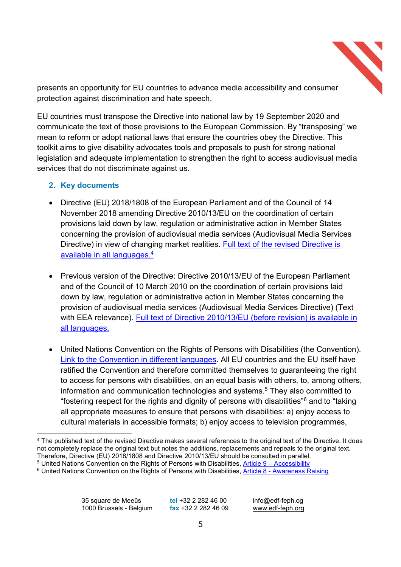

presents an opportunity for EU countries to advance media accessibility and consumer protection against discrimination and hate speech.

EU countries must transpose the Directive into national law by 19 September 2020 and communicate the text of those provisions to the European Commission. By "transposing" we mean to reform or adopt national laws that ensure the countries obey the Directive. This toolkit aims to give disability advocates tools and proposals to push for strong national legislation and adequate implementation to strengthen the right to access audiovisual media services that do not discriminate against us.

#### **2. Key documents**

- Directive (EU) 2018/1808 of the European Parliament and of the Council of 14 November 2018 amending Directive 2010/13/EU on the coordination of certain provisions laid down by law, regulation or administrative action in Member States concerning the provision of audiovisual media services (Audiovisual Media Services Directive) in view of changing market realities. Full text of the revised Directive is available in all languages.4
- Previous version of the Directive: Directive 2010/13/EU of the European Parliament and of the Council of 10 March 2010 on the coordination of certain provisions laid down by law, regulation or administrative action in Member States concerning the provision of audiovisual media services (Audiovisual Media Services Directive) (Text with EEA relevance). Full text of Directive 2010/13/EU (before revision) is available in all languages.
- United Nations Convention on the Rights of Persons with Disabilities (the Convention). Link to the Convention in different languages. All EU countries and the EU itself have ratified the Convention and therefore committed themselves to guaranteeing the right to access for persons with disabilities, on an equal basis with others, to, among others, information and communication technologies and systems.<sup>5</sup> They also committed to "fostering respect for the rights and dignity of persons with disabilities"<sup>6</sup> and to "taking all appropriate measures to ensure that persons with disabilities: a) enjoy access to cultural materials in accessible formats; b) enjoy access to television programmes,

 $5$  United Nations Convention on the Rights of Persons with Disabilities, Article  $9 -$  Accessibility

35 square de Meeûs **tel** +32 2 282 46 00 info@edf-feph.og<br>1000 Brussels - Belgium fax +32 2 282 46 09 www.edf-feph.org 1000 Brussels - Belgium **fax** +32 2 282 46 09 www.edf-feph.org

<sup>&</sup>lt;sup>4</sup> The published text of the revised Directive makes several references to the original text of the Directive. It does not completely replace the original text but notes the additions, replacements and repeals to the original text. Therefore, Directive (EU) 2018/1808 and Directive 2010/13/EU should be consulted in parallel.

<sup>&</sup>lt;sup>6</sup> United Nations Convention on the Rights of Persons with Disabilities, Article 8 - Awareness Raising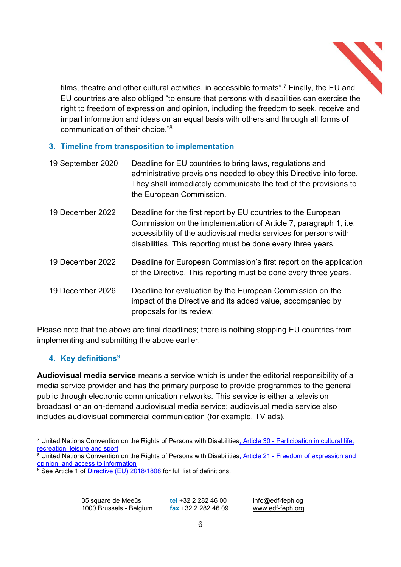

films, theatre and other cultural activities, in accessible formats",<sup>7</sup> Finally, the EU and EU countries are also obliged "to ensure that persons with disabilities can exercise the right to freedom of expression and opinion, including the freedom to seek, receive and impart information and ideas on an equal basis with others and through all forms of communication of their choice."<sup>8</sup>

## **3. Timeline from transposition to implementation**

| 19 September 2020 | Deadline for EU countries to bring laws, regulations and<br>administrative provisions needed to obey this Directive into force.<br>They shall immediately communicate the text of the provisions to<br>the European Commission.                                       |
|-------------------|-----------------------------------------------------------------------------------------------------------------------------------------------------------------------------------------------------------------------------------------------------------------------|
| 19 December 2022  | Deadline for the first report by EU countries to the European<br>Commission on the implementation of Article 7, paragraph 1, i.e.<br>accessibility of the audiovisual media services for persons with<br>disabilities. This reporting must be done every three years. |
| 19 December 2022  | Deadline for European Commission's first report on the application<br>of the Directive. This reporting must be done every three years.                                                                                                                                |
| 19 December 2026  | Deadline for evaluation by the European Commission on the<br>impact of the Directive and its added value, accompanied by<br>proposals for its review.                                                                                                                 |

Please note that the above are final deadlines; there is nothing stopping EU countries from implementing and submitting the above earlier.

## **4. Key definitions**<sup>9</sup>

**Audiovisual media service** means a service which is under the editorial responsibility of a media service provider and has the primary purpose to provide programmes to the general public through electronic communication networks. This service is either a television broadcast or an on-demand audiovisual media service; audiovisual media service also includes audiovisual commercial communication (for example, TV ads).

 <sup>7</sup> United Nations Convention on the Rights of Persons with Disabilities, Article 30 - Participation in cultural life, recreation, leisure and sport

<sup>8</sup> United Nations Convention on the Rights of Persons with Disabilities, Article 21 - Freedom of expression and opinion, and access to information

 $\frac{9}{9}$  See Article 1 of Directive (EU) 2018/1808 for full list of definitions.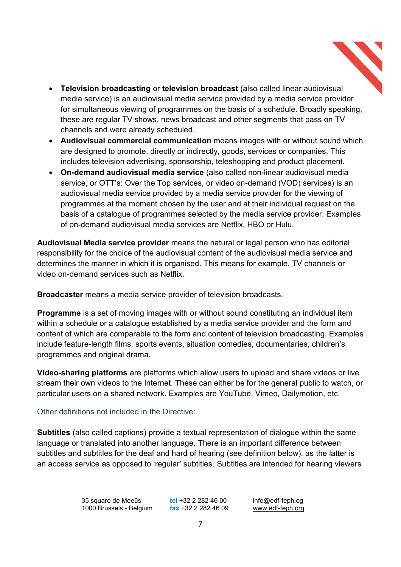

- x **Television broadcasting** or **television broadcast** (also called linear audiovisual media service) is an audiovisual media service provided by a media service provider for simultaneous viewing of programmes on the basis of a schedule. Broadly speaking, these are regular TV shows, news broadcast and other segments that pass on TV channels and were already scheduled.
- **Audiovisual commercial communication** means images with or without sound which are designed to promote, directly or indirectly, goods, services or companies. This includes television advertising, sponsorship, teleshopping and product placement.
- x **On-demand audiovisual media service** (also called non-linear audiovisual media service. or OTT's: Over the Top services, or video on-demand (VOD) services) is an audiovisual media service provided by a media service provider for the viewing of programmes at the moment chosen by the user and at their individual request on the basis of a catalogue of programmes selected by the media service provider. Examples of on-demand audiovisual media services are Netflix, HBO or Hulu.

**Audiovisual Media service provider** means the natural or legal person who has editorial responsibility for the choice of the audiovisual content of the audiovisual media service and determines the manner in which it is organised. This means for example, TV channels or video on-demand services such as Netflix.

**Broadcaster** means a media service provider of television broadcasts.

**Programme** is a set of moving images with or without sound constituting an individual item within a schedule or a catalogue established by a media service provider and the form and content of which are comparable to the form and content of television broadcasting. Examples include feature-length films, sports events, situation comedies, documentaries, children's programmes and original drama.

**Video-sharing platforms** are platforms which allow users to upload and share videos or live stream their own videos to the Internet. These can either be for the general public to watch, or particular users on a shared network. Examples are YouTube, Vimeo, Dailymotion, etc.

## Other definitions not included in the Directive:

**Subtitles** (also called captions) provide a textual representation of dialogue within the same language or translated into another language. There is an important difference between subtitles and subtitles for the deaf and hard of hearing (see definition below), as the latter is an access service as opposed to 'regular' subtitles. Subtitles are intended for hearing viewers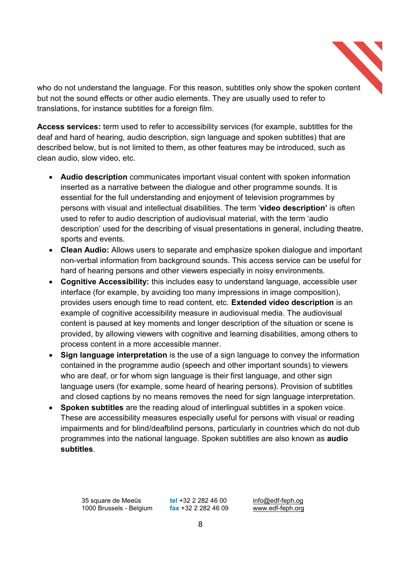

who do not understand the language. For this reason, subtitles only show the spoken content but not the sound effects or other audio elements. They are usually used to refer to translations, for instance subtitles for a foreign film.

**Access services:** term used to refer to accessibility services (for example, subtitles for the deaf and hard of hearing, audio description, sign language and spoken subtitles) that are described below, but is not limited to them, as other features may be introduced, such as clean audio, slow video, etc.

- **Audio description** communicates important visual content with spoken information inserted as a narrative between the dialogue and other programme sounds. It is essential for the full understanding and enjoyment of television programmes by persons with visual and intellectual disabilities. The term 'video description' is often used to refer to audio description of audiovisual material, with the term 'audio description' used for the describing of visual presentations in general, including theatre, sports and events.
- Clean Audio: Allows users to separate and emphasize spoken dialogue and important non-verbal information from background sounds. This access service can be useful for hard of hearing persons and other viewers especially in noisy environments.
- x **Cognitive Accessibility:** this includes easy to understand language, accessible user interface (for example, by avoiding too many impressions in image composition), provides users enough time to read content, etc. **Extended video description** is an example of cognitive accessibility measure in audiovisual media. The audiovisual content is paused at key moments and longer description of the situation or scene is provided, by allowing viewers with cognitive and learning disabilities, among others to process content in a more accessible manner.
- Sign language interpretation is the use of a sign language to convey the information contained in the programme audio (speech and other important sounds) to viewers who are deaf, or for whom sign language is their first language, and other sign language users (for example, some heard of hearing persons). Provision of subtitles and closed captions by no means removes the need for sign language interpretation.
- **Spoken subtitles** are the reading aloud of interlingual subtitles in a spoken voice. These are accessibility measures especially useful for persons with visual or reading impairments and for blind/deafblind persons, particularly in countries which do not dub programmes into the national language. Spoken subtitles are also known as **audio subtitles**.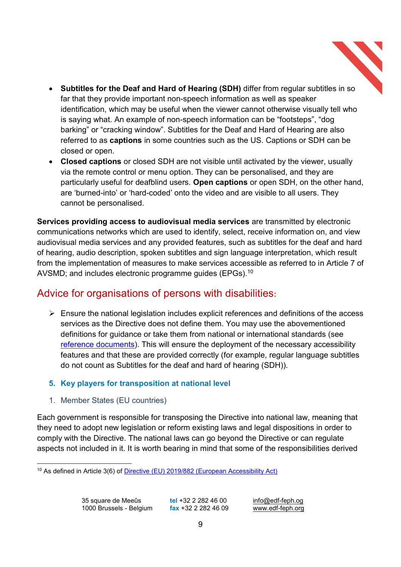

- **Subtitles for the Deaf and Hard of Hearing (SDH)** differ from regular subtitles in so far that they provide important non-speech information as well as speaker identification, which may be useful when the viewer cannot otherwise visually tell who is saying what. An example of non-speech information can be "footsteps", "dog barking" or "cracking window". Subtitles for the Deaf and Hard of Hearing are also referred to as **captions** in some countries such as the US. Captions or SDH can be closed or open.
- **Closed captions** or closed SDH are not visible until activated by the viewer, usually via the remote control or menu option. They can be personalised, and they are particularly useful for deafblind users. **Open captions** or open SDH, on the other hand, are 'burned-into' or 'hard-coded' onto the video and are visible to all users. They cannot be personalised.

**Services providing access to audiovisual media services** are transmitted by electronic communications networks which are used to identify, select, receive information on, and view audiovisual media services and any provided features, such as subtitles for the deaf and hard of hearing, audio description, spoken subtitles and sign language interpretation, which result from the implementation of measures to make services accessible as referred to in Article 7 of AVSMD; and includes electronic programme guides (EPGs).10

# Advice for organisations of persons with disabilities**:**

 $\triangleright$  Ensure the national legislation includes explicit references and definitions of the access services as the Directive does not define them. You may use the abovementioned definitions for guidance or take them from national or international standards (see reference documents). This will ensure the deployment of the necessary accessibility features and that these are provided correctly (for example, regular language subtitles do not count as Subtitles for the deaf and hard of hearing (SDH)).

## **5. Key players for transposition at national level**

1. Member States (EU countries)

Each government is responsible for transposing the Directive into national law, meaning that they need to adopt new legislation or reform existing laws and legal dispositions in order to comply with the Directive. The national laws can go beyond the Directive or can regulate aspects not included in it. It is worth bearing in mind that some of the responsibilities derived

 <sup>10</sup> As defined in Article 3(6) of Directive (EU) 2019/882 (European Accessibility Act)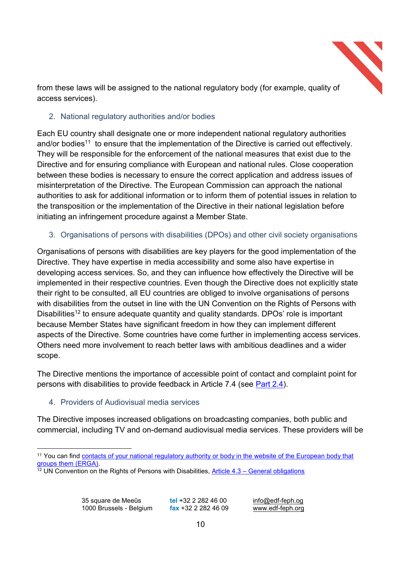

from these laws will be assigned to the national regulatory body (for example, quality of access services).

## 2. National regulatory authorities and/or bodies

Each EU country shall designate one or more independent national regulatory authorities and/or bodies<sup>11</sup> to ensure that the implementation of the Directive is carried out effectively. They will be responsible for the enforcement of the national measures that exist due to the Directive and for ensuring compliance with European and national rules. Close cooperation between these bodies is necessary to ensure the correct application and address issues of misinterpretation of the Directive. The European Commission can approach the national authorities to ask for additional information or to inform them of potential issues in relation to the transposition or the implementation of the Directive in their national legislation before initiating an infringement procedure against a Member State.

## 3. Organisations of persons with disabilities (DPOs) and other civil society organisations

Organisations of persons with disabilities are key players for the good implementation of the Directive. They have expertise in media accessibility and some also have expertise in developing access services. So, and they can influence how effectively the Directive will be implemented in their respective countries. Even though the Directive does not explicitly state their right to be consulted, all EU countries are obliged to involve organisations of persons with disabilities from the outset in line with the UN Convention on the Rights of Persons with Disabilities<sup>12</sup> to ensure adequate quantity and quality standards. DPOs' role is important because Member States have significant freedom in how they can implement different aspects of the Directive. Some countries have come further in implementing access services. Others need more involvement to reach better laws with ambitious deadlines and a wider scope.

The Directive mentions the importance of accessible point of contact and complaint point for persons with disabilities to provide feedback in Article 7.4 (see Part 2.4).

## 4. Providers of Audiovisual media services

The Directive imposes increased obligations on broadcasting companies, both public and commercial, including TV and on-demand audiovisual media services. These providers will be

 <sup>11</sup> You can find contacts of your national regulatory authority or body in the website of the European body that groups them (ERGA).

 $12$  UN Convention on the Rights of Persons with Disabilities, Article 4.3 – General obligations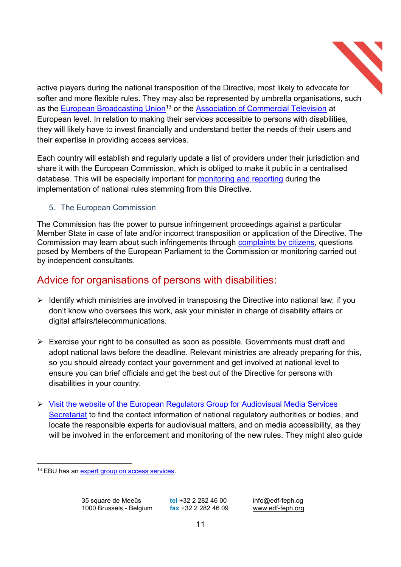

active players during the national transposition of the Directive, most likely to advocate for softer and more flexible rules. They may also be represented by umbrella organisations, such as the European Broadcasting Union<sup>13</sup> or the **Association of Commercial Television** at European level. In relation to making their services accessible to persons with disabilities, they will likely have to invest financially and understand better the needs of their users and their expertise in providing access services.

Each country will establish and regularly update a list of providers under their jurisdiction and share it with the European Commission, which is obliged to make it public in a centralised database. This will be especially important for monitoring and reporting during the implementation of national rules stemming from this Directive.

## 5. The European Commission

The Commission has the power to pursue infringement proceedings against a particular Member State in case of late and/or incorrect transposition or application of the Directive. The Commission may learn about such infringements through complaints by citizens, questions posed by Members of the European Parliament to the Commission or monitoring carried out by independent consultants.

# Advice for organisations of persons with disabilities:

- $\triangleright$  Identify which ministries are involved in transposing the Directive into national law; if you don't know who oversees this work, ask your minister in charge of disability affairs or digital affairs/telecommunications.
- $\triangleright$  Exercise your right to be consulted as soon as possible. Governments must draft and adopt national laws before the deadline. Relevant ministries are already preparing for this, so you should already contact your government and get involved at national level to ensure you can brief officials and get the best out of the Directive for persons with disabilities in your country.
- ¾ Visit the website of the European Regulators Group for Audiovisual Media Services Secretariat to find the contact information of national regulatory authorities or bodies, and locate the responsible experts for audiovisual matters, and on media accessibility, as they will be involved in the enforcement and monitoring of the new rules. They might also guide

 <sup>13</sup> EBU has an expert group on access services.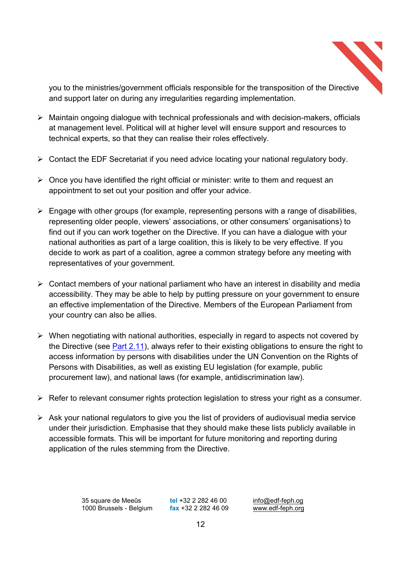

you to the ministries/government officials responsible for the transposition of the Directive and support later on during any irregularities regarding implementation.

- $\triangleright$  Maintain ongoing dialogue with technical professionals and with decision-makers, officials at management level. Political will at higher level will ensure support and resources to technical experts, so that they can realise their roles effectively.
- $\triangleright$  Contact the EDF Secretariat if you need advice locating your national regulatory body.
- $\triangleright$  Once you have identified the right official or minister: write to them and request an appointment to set out your position and offer your advice.
- $\triangleright$  Engage with other groups (for example, representing persons with a range of disabilities, representing older people, viewers' associations, or other consumers' organisations) to find out if you can work together on the Directive. If you can have a dialogue with your national authorities as part of a large coalition, this is likely to be very effective. If you decide to work as part of a coalition, agree a common strategy before any meeting with representatives of your government.
- $\triangleright$  Contact members of your national parliament who have an interest in disability and media accessibility. They may be able to help by putting pressure on your government to ensure an effective implementation of the Directive. Members of the European Parliament from your country can also be allies.
- $\triangleright$  When negotiating with national authorities, especially in regard to aspects not covered by the Directive (see Part 2.11), always refer to their existing obligations to ensure the right to access information by persons with disabilities under the UN Convention on the Rights of Persons with Disabilities, as well as existing EU legislation (for example, public procurement law), and national laws (for example, antidiscrimination law).
- $\triangleright$  Refer to relevant consumer rights protection legislation to stress your right as a consumer.
- $\triangleright$  Ask your national regulators to give you the list of providers of audiovisual media service under their jurisdiction. Emphasise that they should make these lists publicly available in accessible formats. This will be important for future monitoring and reporting during application of the rules stemming from the Directive.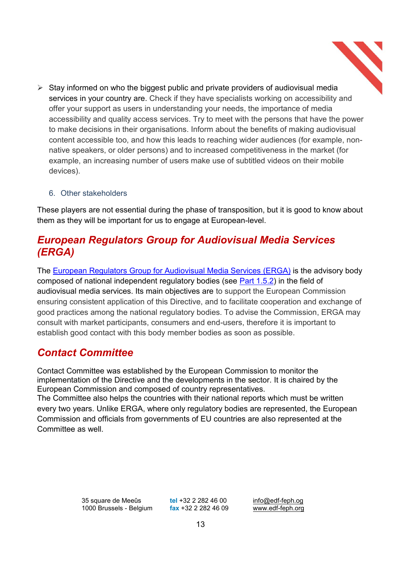$\triangleright$  Stay informed on who the biggest public and private providers of audiovisual media services in your country are. Check if they have specialists working on accessibility and offer your support as users in understanding your needs, the importance of media accessibility and quality access services. Try to meet with the persons that have the power to make decisions in their organisations. Inform about the benefits of making audiovisual content accessible too, and how this leads to reaching wider audiences (for example, nonnative speakers, or older persons) and to increased competitiveness in the market (for example, an increasing number of users make use of subtitled videos on their mobile devices).

#### 6. Other stakeholders

These players are not essential during the phase of transposition, but it is good to know about them as they will be important for us to engage at European-level.

# *European Regulators Group for Audiovisual Media Services (ERGA)*

The European Regulators Group for Audiovisual Media Services (ERGA) is the advisory body composed of national independent regulatory bodies (see Part 1.5.2) in the field of audiovisual media services. Its main objectives are to support the European Commission ensuring consistent application of this Directive, and to facilitate cooperation and exchange of good practices among the national regulatory bodies. To advise the Commission, ERGA may consult with market participants, consumers and end-users, therefore it is important to establish good contact with this body member bodies as soon as possible.

## *Contact Committee*

Contact Committee was established by the European Commission to monitor the implementation of the Directive and the developments in the sector. It is chaired by the European Commission and composed of country representatives. The Committee also helps the countries with their national reports which must be written every two years. Unlike ERGA, where only regulatory bodies are represented, the European Commission and officials from governments of EU countries are also represented at the Committee as well.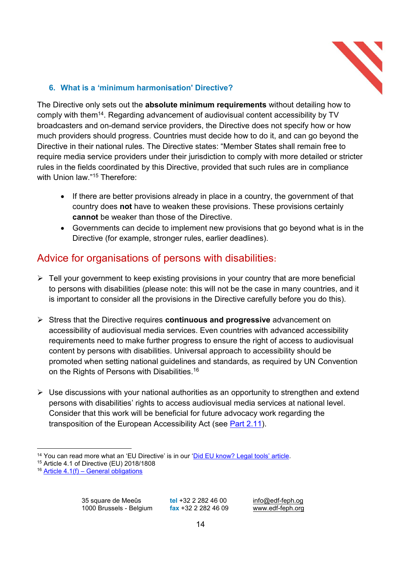

## **6. What is a µminimum harmonisation' Directive?**

The Directive only sets out the **absolute minimum requirements** without detailing how to comply with them<sup>14</sup>. Regarding advancement of audiovisual content accessibility by TV broadcasters and on-demand service providers, the Directive does not specify how or how much providers should progress. Countries must decide how to do it, and can go beyond the Directive in their national rules. The Directive states: "Member States shall remain free to require media service providers under their jurisdiction to comply with more detailed or stricter rules in the fields coordinated by this Directive, provided that such rules are in compliance with Union law. $15$  Therefore:

- If there are better provisions already in place in a country, the government of that country does **not** have to weaken these provisions. These provisions certainly **cannot** be weaker than those of the Directive.
- Governments can decide to implement new provisions that go beyond what is in the Directive (for example, stronger rules, earlier deadlines).

# Advice for organisations of persons with disabilities**:**

- $\triangleright$  Tell your government to keep existing provisions in your country that are more beneficial to persons with disabilities (please note: this will not be the case in many countries, and it is important to consider all the provisions in the Directive carefully before you do this).
- ¾ Stress that the Directive requires **continuous and progressive** advancement on accessibility of audiovisual media services. Even countries with advanced accessibility requirements need to make further progress to ensure the right of access to audiovisual content by persons with disabilities. Universal approach to accessibility should be promoted when setting national guidelines and standards, as required by UN Convention on the Rights of Persons with Disabilities.<sup>16</sup>
- $\triangleright$  Use discussions with your national authorities as an opportunity to strengthen and extend persons with disabilities' rights to access audiovisual media services at national level. Consider that this work will be beneficial for future advocacy work regarding the transposition of the European Accessibility Act (see Part 2.11).

<sup>&</sup>lt;sup>14</sup> You can read more what an 'EU Directive' is in our '<u>Did EU know? Legal tools' article</u>. <sup>15</sup> Article 4.1 of Directive (EU) 2018/1808

 $16$  Article 4.1(f) – General obligations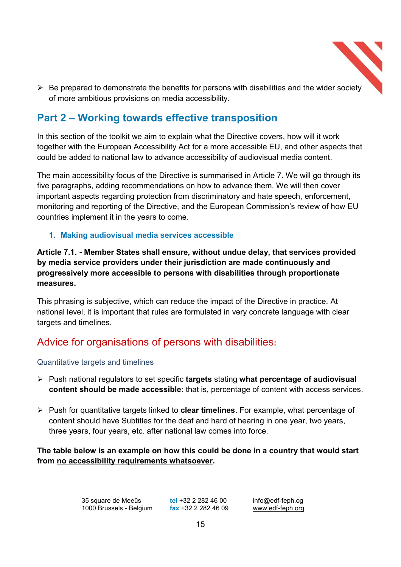

 $\triangleright$  Be prepared to demonstrate the benefits for persons with disabilities and the wider society of more ambitious provisions on media accessibility.

# **Part 2 – Working towards effective transposition**

In this section of the toolkit we aim to explain what the Directive covers, how will it work together with the European Accessibility Act for a more accessible EU, and other aspects that could be added to national law to advance accessibility of audiovisual media content.

The main accessibility focus of the Directive is summarised in Article 7. We will go through its five paragraphs, adding recommendations on how to advance them. We will then cover important aspects regarding protection from discriminatory and hate speech, enforcement, monitoring and reporting of the Directive, and the European Commission's review of how EU countries implement it in the years to come.

## **1. Making audiovisual media services accessible**

**Article 7.1. - Member States shall ensure, without undue delay, that services provided by media service providers under their jurisdiction are made continuously and progressively more accessible to persons with disabilities through proportionate measures.**

This phrasing is subjective, which can reduce the impact of the Directive in practice. At national level, it is important that rules are formulated in very concrete language with clear targets and timelines.

# Advice for organisations of persons with disabilities**:**

#### Quantitative targets and timelines

- ¾ Push national regulators to set specific **targets** stating **what percentage of audiovisual content should be made accessible**: that is, percentage of content with access services.
- ¾ Push for quantitative targets linked to **clear timelines**. For example, what percentage of content should have Subtitles for the deaf and hard of hearing in one year, two years, three years, four years, etc. after national law comes into force.

## **The table below is an example on how this could be done in a country that would start from no accessibility requirements whatsoever.**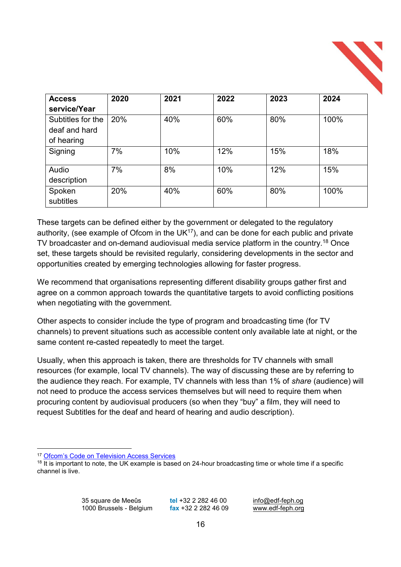| <b>Access</b>     | 2020 | 2021 | 2022 | 2023 | 2024 |
|-------------------|------|------|------|------|------|
| service/Year      |      |      |      |      |      |
| Subtitles for the | 20%  | 40%  | 60%  | 80%  | 100% |
| deaf and hard     |      |      |      |      |      |
| of hearing        |      |      |      |      |      |
| Signing           | 7%   | 10%  | 12%  | 15%  | 18%  |
| Audio             | 7%   | 8%   | 10%  | 12%  | 15%  |
| description       |      |      |      |      |      |
| Spoken            | 20%  | 40%  | 60%  | 80%  | 100% |
| subtitles         |      |      |      |      |      |

These targets can be defined either by the government or delegated to the regulatory authority, (see example of Ofcom in the  $UK^{17}$ ), and can be done for each public and private TV broadcaster and on-demand audiovisual media service platform in the country.18 Once set, these targets should be revisited regularly, considering developments in the sector and opportunities created by emerging technologies allowing for faster progress.

We recommend that organisations representing different disability groups gather first and agree on a common approach towards the quantitative targets to avoid conflicting positions when negotiating with the government.

Other aspects to consider include the type of program and broadcasting time (for TV channels) to prevent situations such as accessible content only available late at night, or the same content re-casted repeatedly to meet the target.

Usually, when this approach is taken, there are thresholds for TV channels with small resources (for example, local TV channels). The way of discussing these are by referring to the audience they reach. For example, TV channels with less than 1% of *share* (audience) will not need to produce the access services themselves but will need to require them when procuring content by audiovisual producers (so when they "buy" a film, they will need to request Subtitles for the deaf and heard of hearing and audio description).

<sup>&</sup>lt;sup>17</sup> Ofcom's Code on Television Access Services

<sup>&</sup>lt;sup>18</sup> It is important to note, the UK example is based on 24-hour broadcasting time or whole time if a specific channel is live.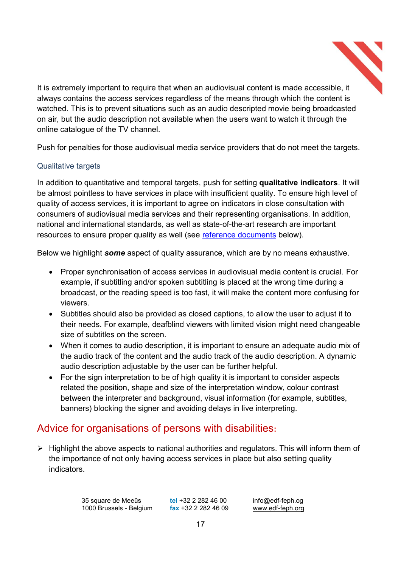

It is extremely important to require that when an audiovisual content is made accessible, it always contains the access services regardless of the means through which the content is watched. This is to prevent situations such as an audio descripted movie being broadcasted on air, but the audio description not available when the users want to watch it through the online catalogue of the TV channel.

Push for penalties for those audiovisual media service providers that do not meet the targets.

## Qualitative targets

In addition to quantitative and temporal targets, push for setting **qualitative indicators**. It will be almost pointless to have services in place with insufficient quality. To ensure high level of quality of access services, it is important to agree on indicators in close consultation with consumers of audiovisual media services and their representing organisations. In addition, national and international standards, as well as state-of-the-art research are important resources to ensure proper quality as well (see reference documents below).

Below we highlight *some* aspect of quality assurance, which are by no means exhaustive.

- Proper synchronisation of access services in audiovisual media content is crucial. For example, if subtitling and/or spoken subtitling is placed at the wrong time during a broadcast, or the reading speed is too fast, it will make the content more confusing for viewers.
- Subtitles should also be provided as closed captions, to allow the user to adjust it to their needs. For example, deafblind viewers with limited vision might need changeable size of subtitles on the screen.
- When it comes to audio description, it is important to ensure an adequate audio mix of the audio track of the content and the audio track of the audio description. A dynamic audio description adjustable by the user can be further helpful.
- For the sign interpretation to be of high quality it is important to consider aspects related the position, shape and size of the interpretation window, colour contrast between the interpreter and background, visual information (for example, subtitles, banners) blocking the signer and avoiding delays in live interpreting.

# Advice for organisations of persons with disabilities**:**

 $\triangleright$  Highlight the above aspects to national authorities and regulators. This will inform them of the importance of not only having access services in place but also setting quality indicators.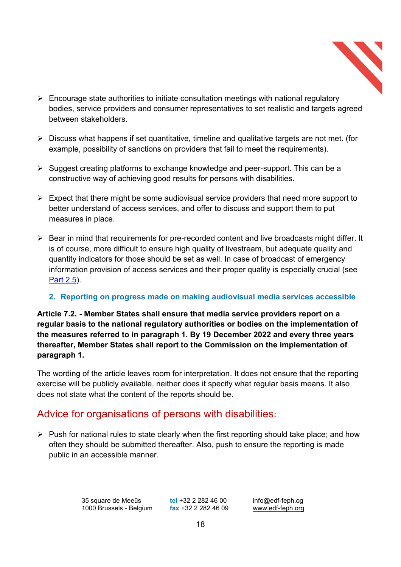

- $\triangleright$  Encourage state authorities to initiate consultation meetings with national regulatory bodies, service providers and consumer representatives to set realistic and targets agreed between stakeholders.
- $\triangleright$  Discuss what happens if set quantitative, timeline and qualitative targets are not met. (for example, possibility of sanctions on providers that fail to meet the requirements).
- $\triangleright$  Suggest creating platforms to exchange knowledge and peer-support. This can be a constructive way of achieving good results for persons with disabilities.
- $\triangleright$  Expect that there might be some audiovisual service providers that need more support to better understand of access services, and offer to discuss and support them to put measures in place.
- $\triangleright$  Bear in mind that requirements for pre-recorded content and live broadcasts might differ. It is of course, more difficult to ensure high quality of livestream, but adequate quality and quantity indicators for those should be set as well. In case of broadcast of emergency information provision of access services and their proper quality is especially crucial (see Part 2.5).

## **2. Reporting on progress made on making audiovisual media services accessible**

**Article 7.2. - Member States shall ensure that media service providers report on a regular basis to the national regulatory authorities or bodies on the implementation of the measures referred to in paragraph 1. By 19 December 2022 and every three years thereafter, Member States shall report to the Commission on the implementation of paragraph 1.**

The wording of the article leaves room for interpretation. It does not ensure that the reporting exercise will be publicly available, neither does it specify what regular basis means. It also does not state what the content of the reports should be.

# Advice for organisations of persons with disabilities**:**

 $\triangleright$  Push for national rules to state clearly when the first reporting should take place; and how often they should be submitted thereafter. Also, push to ensure the reporting is made public in an accessible manner.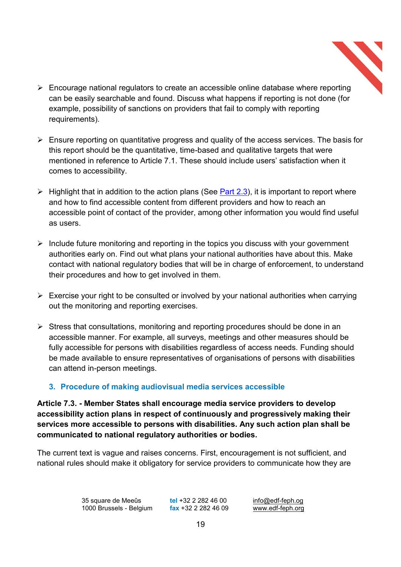

- $\triangleright$  Encourage national regulators to create an accessible online database where reporting can be easily searchable and found. Discuss what happens if reporting is not done (for example, possibility of sanctions on providers that fail to comply with reporting requirements).
- $\triangleright$  Ensure reporting on quantitative progress and quality of the access services. The basis for this report should be the quantitative, time-based and qualitative targets that were mentioned in reference to Article 7.1. These should include users' satisfaction when it comes to accessibility.
- $\triangleright$  Highlight that in addition to the action plans (See Part 2.3), it is important to report where and how to find accessible content from different providers and how to reach an accessible point of contact of the provider, among other information you would find useful as users.
- $\triangleright$  Include future monitoring and reporting in the topics you discuss with your government authorities early on. Find out what plans your national authorities have about this. Make contact with national regulatory bodies that will be in charge of enforcement, to understand their procedures and how to get involved in them.
- $\triangleright$  Exercise your right to be consulted or involved by your national authorities when carrying out the monitoring and reporting exercises.
- $\triangleright$  Stress that consultations, monitoring and reporting procedures should be done in an accessible manner. For example, all surveys, meetings and other measures should be fully accessible for persons with disabilities regardless of access needs. Funding should be made available to ensure representatives of organisations of persons with disabilities can attend in-person meetings.

## **3. Procedure of making audiovisual media services accessible**

**Article 7.3. - Member States shall encourage media service providers to develop accessibility action plans in respect of continuously and progressively making their services more accessible to persons with disabilities. Any such action plan shall be communicated to national regulatory authorities or bodies.**

The current text is vague and raises concerns. First, encouragement is not sufficient, and national rules should make it obligatory for service providers to communicate how they are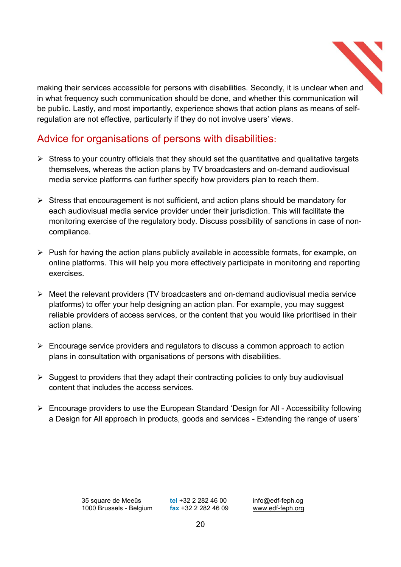

making their services accessible for persons with disabilities. Secondly, it is unclear when and in what frequency such communication should be done, and whether this communication will be public. Lastly, and most importantly, experience shows that action plans as means of selfregulation are not effective, particularly if they do not involve users' views.

# Advice for organisations of persons with disabilities**:**

- $\triangleright$  Stress to your country officials that they should set the quantitative and qualitative targets themselves, whereas the action plans by TV broadcasters and on-demand audiovisual media service platforms can further specify how providers plan to reach them.
- $\triangleright$  Stress that encouragement is not sufficient, and action plans should be mandatory for each audiovisual media service provider under their jurisdiction. This will facilitate the monitoring exercise of the regulatory body. Discuss possibility of sanctions in case of noncompliance.
- $\triangleright$  Push for having the action plans publicly available in accessible formats, for example, on online platforms. This will help you more effectively participate in monitoring and reporting exercises.
- $\triangleright$  Meet the relevant providers (TV broadcasters and on-demand audiovisual media service platforms) to offer your help designing an action plan. For example, you may suggest reliable providers of access services, or the content that you would like prioritised in their action plans.
- $\triangleright$  Encourage service providers and regulators to discuss a common approach to action plans in consultation with organisations of persons with disabilities.
- $\triangleright$  Suggest to providers that they adapt their contracting policies to only buy audiovisual content that includes the access services.
- $\triangleright$  Encourage providers to use the European Standard 'Design for All Accessibility following a Design for All approach in products, goods and services - Extending the range of users'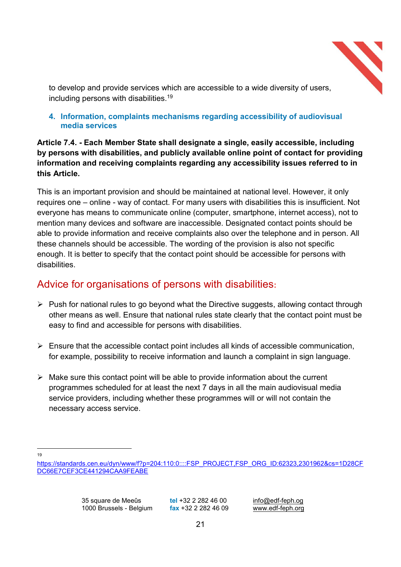

to develop and provide services which are accessible to a wide diversity of users, including persons with disabilities. 19

#### **4. Information, complaints mechanisms regarding accessibility of audiovisual media services**

## **Article 7.4. - Each Member State shall designate a single, easily accessible, including by persons with disabilities, and publicly available online point of contact for providing information and receiving complaints regarding any accessibility issues referred to in this Article.**

This is an important provision and should be maintained at national level. However, it only requires one – online - way of contact. For many users with disabilities this is insufficient. Not everyone has means to communicate online (computer, smartphone, internet access), not to mention many devices and software are inaccessible. Designated contact points should be able to provide information and receive complaints also over the telephone and in person. All these channels should be accessible. The wording of the provision is also not specific enough. It is better to specify that the contact point should be accessible for persons with disabilities.

# Advice for organisations of persons with disabilities**:**

- $\triangleright$  Push for national rules to go beyond what the Directive suggests, allowing contact through other means as well. Ensure that national rules state clearly that the contact point must be easy to find and accessible for persons with disabilities.
- $\triangleright$  Ensure that the accessible contact point includes all kinds of accessible communication, for example, possibility to receive information and launch a complaint in sign language.
- $\triangleright$  Make sure this contact point will be able to provide information about the current programmes scheduled for at least the next 7 days in all the main audiovisual media service providers, including whether these programmes will or will not contain the necessary access service.

 <sup>19</sup>

https://standards.cen.eu/dyn/www/f?p=204:110:0::::FSP\_PROJECT,FSP\_ORG\_ID:62323,2301962&cs=1D28CF DC66E7CEF3CE441294CAA9FEABE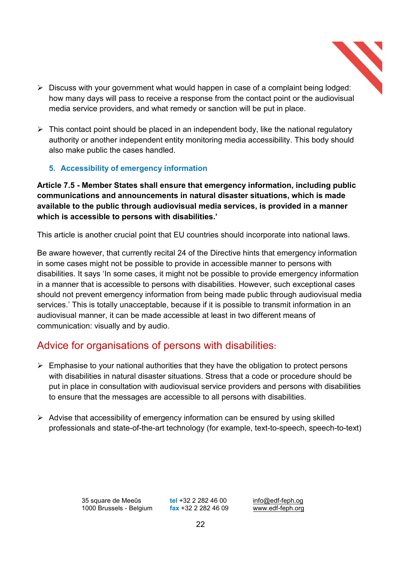

- $\triangleright$  Discuss with your government what would happen in case of a complaint being lodged: how many days will pass to receive a response from the contact point or the audiovisual media service providers, and what remedy or sanction will be put in place.
- $\triangleright$  This contact point should be placed in an independent body, like the national regulatory authority or another independent entity monitoring media accessibility. This body should also make public the cases handled.

## **5. Accessibility of emergency information**

**Article 7.5 - Member States shall ensure that emergency information, including public communications and announcements in natural disaster situations, which is made available to the public through audiovisual media services, is provided in a manner which is accessible to persons with disabilities.¶**

This article is another crucial point that EU countries should incorporate into national laws.

Be aware however, that currently recital 24 of the Directive hints that emergency information in some cases might not be possible to provide in accessible manner to persons with disabilities. It says 'In some cases, it might not be possible to provide emergency information in a manner that is accessible to persons with disabilities. However, such exceptional cases should not prevent emergency information from being made public through audiovisual media services.' This is totally unacceptable, because if it is possible to transmit information in an audiovisual manner, it can be made accessible at least in two different means of communication: visually and by audio.

## Advice for organisations of persons with disabilities**:**

- $\triangleright$  Emphasise to your national authorities that they have the obligation to protect persons with disabilities in natural disaster situations. Stress that a code or procedure should be put in place in consultation with audiovisual service providers and persons with disabilities to ensure that the messages are accessible to all persons with disabilities.
- $\triangleright$  Advise that accessibility of emergency information can be ensured by using skilled professionals and state-of-the-art technology (for example, text-to-speech, speech-to-text)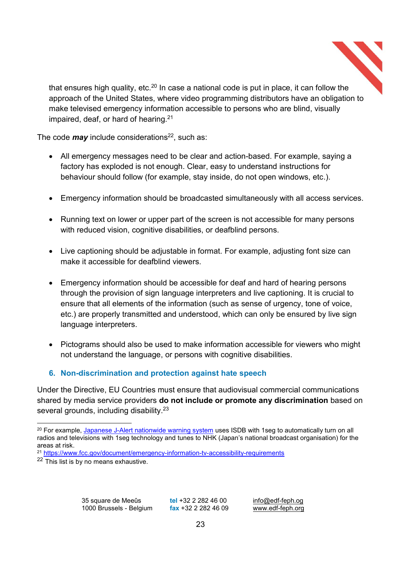

The code *may* include considerations<sup>22</sup>, such as:

- All emergency messages need to be clear and action-based. For example, saying a factory has exploded is not enough. Clear, easy to understand instructions for behaviour should follow (for example, stay inside, do not open windows, etc.).
- Emergency information should be broadcasted simultaneously with all access services.
- Running text on lower or upper part of the screen is not accessible for many persons with reduced vision, cognitive disabilities, or deafblind persons.
- Live captioning should be adjustable in format. For example, adjusting font size can make it accessible for deafblind viewers.
- Emergency information should be accessible for deaf and hard of hearing persons through the provision of sign language interpreters and live captioning. It is crucial to ensure that all elements of the information (such as sense of urgency, tone of voice, etc.) are properly transmitted and understood, which can only be ensured by live sign language interpreters.
- Pictograms should also be used to make information accessible for viewers who might not understand the language, or persons with cognitive disabilities.

## **6. Non-discrimination and protection against hate speech**

Under the Directive, EU Countries must ensure that audiovisual commercial communications shared by media service providers **do not include or promote any discrimination** based on several grounds, including disability.<sup>23</sup>

<sup>&</sup>lt;sup>20</sup> For example, Japanese J-Alert nationwide warning system uses ISDB with 1seg to automatically turn on all radios and televisions with 1seg technology and tunes to NHK (Japan's national broadcast organisation) for the areas at risk.

<sup>21</sup> https://www.fcc.gov/document/emergency-information-tv-accessibility-requirements

<sup>&</sup>lt;sup>22</sup> This list is by no means exhaustive.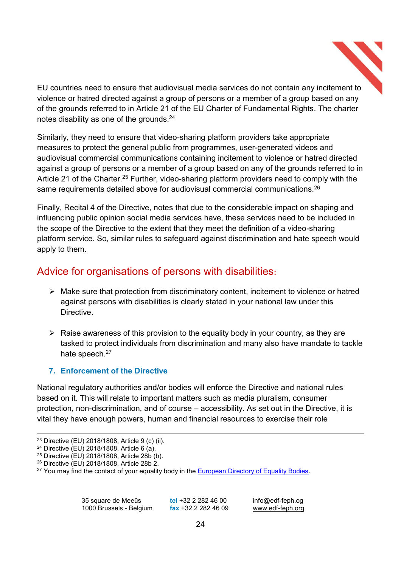

EU countries need to ensure that audiovisual media services do not contain any incitement to violence or hatred directed against a group of persons or a member of a group based on any of the grounds referred to in Article 21 of the EU Charter of Fundamental Rights. The charter notes disability as one of the grounds.<sup>24</sup>

Similarly, they need to ensure that video-sharing platform providers take appropriate measures to protect the general public from programmes, user-generated videos and audiovisual commercial communications containing incitement to violence or hatred directed against a group of persons or a member of a group based on any of the grounds referred to in Article 21 of the Charter.<sup>25</sup> Further, video-sharing platform providers need to comply with the same requirements detailed above for audiovisual commercial communications.<sup>26</sup>

Finally, Recital 4 of the Directive, notes that due to the considerable impact on shaping and influencing public opinion social media services have, these services need to be included in the scope of the Directive to the extent that they meet the definition of a video-sharing platform service. So, similar rules to safeguard against discrimination and hate speech would apply to them.

# Advice for organisations of persons with disabilities**:**

- $\triangleright$  Make sure that protection from discriminatory content, incitement to violence or hatred against persons with disabilities is clearly stated in your national law under this **Directive**
- $\triangleright$  Raise awareness of this provision to the equality body in your country, as they are tasked to protect individuals from discrimination and many also have mandate to tackle hate speech.<sup>27</sup>

## **7. Enforcement of the Directive**

National regulatory authorities and/or bodies will enforce the Directive and national rules based on it. This will relate to important matters such as media pluralism, consumer protection, non-discrimination, and of course  $-$  accessibility. As set out in the Directive, it is vital they have enough powers, human and financial resources to exercise their role

 <sup>23</sup> Directive (EU) 2018/1808, Article 9 (c) (ii).

<sup>24</sup> Directive (EU) 2018/1808, Article 6 (a).

<sup>25</sup> Directive (EU) 2018/1808, Article 28b (b).

<sup>26</sup> Directive (EU) 2018/1808, Article 28b 2.

<sup>&</sup>lt;sup>27</sup> You may find the contact of your equality body in the European Directory of Equality Bodies.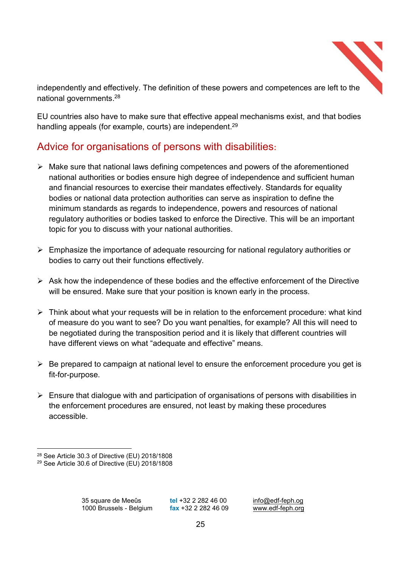

independently and effectively. The definition of these powers and competences are left to the national governments.<sup>28</sup>

EU countries also have to make sure that effective appeal mechanisms exist, and that bodies handling appeals (for example, courts) are independent.<sup>29</sup>

# Advice for organisations of persons with disabilities**:**

- $\triangleright$  Make sure that national laws defining competences and powers of the aforementioned national authorities or bodies ensure high degree of independence and sufficient human and financial resources to exercise their mandates effectively. Standards for equality bodies or national data protection authorities can serve as inspiration to define the minimum standards as regards to independence, powers and resources of national regulatory authorities or bodies tasked to enforce the Directive. This will be an important topic for you to discuss with your national authorities.
- $\triangleright$  Emphasize the importance of adequate resourcing for national regulatory authorities or bodies to carry out their functions effectively.
- $\triangleright$  Ask how the independence of these bodies and the effective enforcement of the Directive will be ensured. Make sure that your position is known early in the process.
- $\triangleright$  Think about what your requests will be in relation to the enforcement procedure: what kind of measure do you want to see? Do you want penalties, for example? All this will need to be negotiated during the transposition period and it is likely that different countries will have different views on what "adequate and effective" means.
- $\triangleright$  Be prepared to campaign at national level to ensure the enforcement procedure you get is fit-for-purpose.
- $\triangleright$  Ensure that dialogue with and participation of organisations of persons with disabilities in the enforcement procedures are ensured, not least by making these procedures accessible.

 <sup>28</sup> See Article 30.3 of Directive (EU) 2018/1808

<sup>29</sup> See Article 30.6 of Directive (EU) 2018/1808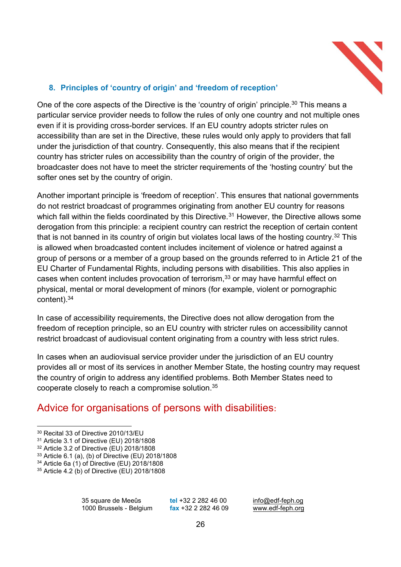

## **8.** Principles of 'country of origin' and 'freedom of reception'

One of the core aspects of the Directive is the 'country of origin' principle.<sup>30</sup> This means a particular service provider needs to follow the rules of only one country and not multiple ones even if it is providing cross-border services. If an EU country adopts stricter rules on accessibility than are set in the Directive, these rules would only apply to providers that fall under the jurisdiction of that country. Consequently, this also means that if the recipient country has stricter rules on accessibility than the country of origin of the provider, the broadcaster does not have to meet the stricter requirements of the 'hosting country' but the softer ones set by the country of origin.

Another important principle is 'freedom of reception'. This ensures that national governments do not restrict broadcast of programmes originating from another EU country for reasons which fall within the fields coordinated by this Directive.<sup>31</sup> However, the Directive allows some derogation from this principle: a recipient country can restrict the reception of certain content that is not banned in its country of origin but violates local laws of the hosting country.<sup>32</sup> This is allowed when broadcasted content includes incitement of violence or hatred against a group of persons or a member of a group based on the grounds referred to in Article 21 of the EU Charter of Fundamental Rights, including persons with disabilities. This also applies in cases when content includes provocation of terrorism,<sup>33</sup> or may have harmful effect on physical, mental or moral development of minors (for example, violent or pornographic content). 34

In case of accessibility requirements, the Directive does not allow derogation from the freedom of reception principle, so an EU country with stricter rules on accessibility cannot restrict broadcast of audiovisual content originating from a country with less strict rules.

In cases when an audiovisual service provider under the jurisdiction of an EU country provides all or most of its services in another Member State, the hosting country may request the country of origin to address any identified problems. Both Member States need to cooperate closely to reach a compromise solution.35

# Advice for organisations of persons with disabilities**:**

 <sup>30</sup> Recital 33 of Directive 2010/13/EU

<sup>31</sup> Article 3.1 of Directive (EU) 2018/1808

<sup>32</sup> Article 3.2 of Directive (EU) 2018/1808

<sup>33</sup> Article 6.1 (a), (b) of Directive (EU) 2018/1808

<sup>34</sup> Article 6a (1) of Directive (EU) 2018/1808

<sup>35</sup> Article 4.2 (b) of Directive (EU) 2018/1808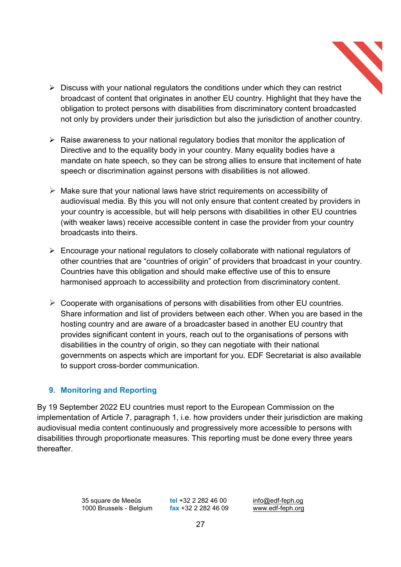- $\triangleright$  Discuss with your national regulators the conditions under which they can restrict broadcast of content that originates in another EU country. Highlight that they have the obligation to protect persons with disabilities from discriminatory content broadcasted not only by providers under their jurisdiction but also the jurisdiction of another country.
- $\triangleright$  Raise awareness to your national regulatory bodies that monitor the application of Directive and to the equality body in your country. Many equality bodies have a mandate on hate speech, so they can be strong allies to ensure that incitement of hate speech or discrimination against persons with disabilities is not allowed.
- $\triangleright$  Make sure that your national laws have strict requirements on accessibility of audiovisual media. By this you will not only ensure that content created by providers in your country is accessible, but will help persons with disabilities in other EU countries (with weaker laws) receive accessible content in case the provider from your country broadcasts into theirs.
- $\triangleright$  Encourage your national regulators to closely collaborate with national regulators of other countries that are "countries of origin" of providers that broadcast in your country. Countries have this obligation and should make effective use of this to ensure harmonised approach to accessibility and protection from discriminatory content.
- $\triangleright$  Cooperate with organisations of persons with disabilities from other EU countries. Share information and list of providers between each other. When you are based in the hosting country and are aware of a broadcaster based in another EU country that provides significant content in yours, reach out to the organisations of persons with disabilities in the country of origin, so they can negotiate with their national governments on aspects which are important for you. EDF Secretariat is also available to support cross-border communication.

## **9. Monitoring and Reporting**

By 19 September 2022 EU countries must report to the European Commission on the implementation of Article 7, paragraph 1, i.e. how providers under their jurisdiction are making audiovisual media content continuously and progressively more accessible to persons with disabilities through proportionate measures. This reporting must be done every three years **thereafter**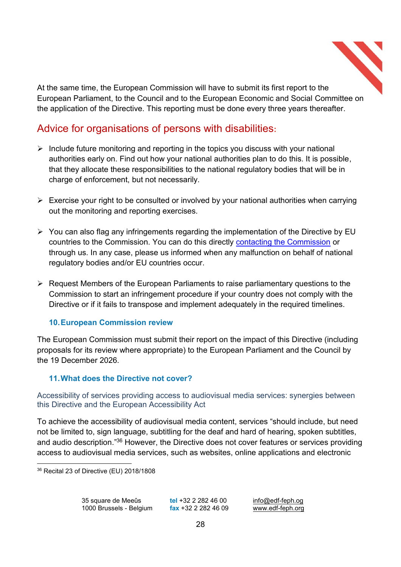

At the same time, the European Commission will have to submit its first report to the European Parliament, to the Council and to the European Economic and Social Committee on the application of the Directive. This reporting must be done every three years thereafter.

# Advice for organisations of persons with disabilities**:**

- $\triangleright$  Include future monitoring and reporting in the topics you discuss with your national authorities early on. Find out how your national authorities plan to do this. It is possible, that they allocate these responsibilities to the national regulatory bodies that will be in charge of enforcement, but not necessarily.
- $\triangleright$  Exercise your right to be consulted or involved by your national authorities when carrying out the monitoring and reporting exercises.
- $\triangleright$  You can also flag any infringements regarding the implementation of the Directive by EU countries to the Commission. You can do this directly contacting the Commission or through us. In any case, please us informed when any malfunction on behalf of national regulatory bodies and/or EU countries occur.
- $\triangleright$  Request Members of the European Parliaments to raise parliamentary questions to the Commission to start an infringement procedure if your country does not comply with the Directive or if it fails to transpose and implement adequately in the required timelines.

## **10.European Commission review**

The European Commission must submit their report on the impact of this Directive (including proposals for its review where appropriate) to the European Parliament and the Council by the 19 December 2026.

## **11.What does the Directive not cover?**

Accessibility of services providing access to audiovisual media services: synergies between this Directive and the European Accessibility Act

To achieve the accessibility of audiovisual media content, services "should include, but need not be limited to, sign language, subtitling for the deaf and hard of hearing, spoken subtitles, and audio description."<sup>36</sup> However, the Directive does not cover features or services providing access to audiovisual media services, such as websites, online applications and electronic

 <sup>36</sup> Recital 23 of Directive (EU) 2018/1808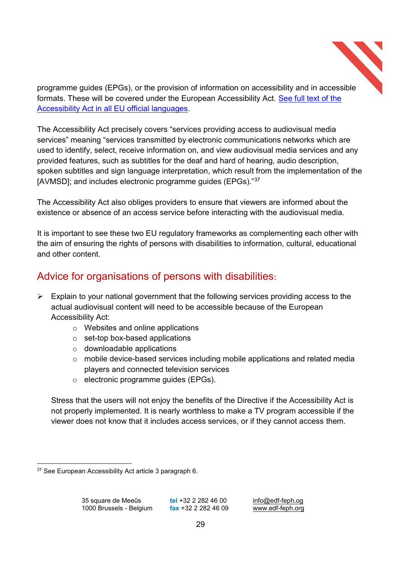

programme guides (EPGs), or the provision of information on accessibility and in accessible formats. These will be covered under the European Accessibility Act. See full text of the Accessibility Act in all EU official languages.

The Accessibility Act precisely covers "services providing access to audiovisual media services" meaning "services transmitted by electronic communications networks which are used to identify, select, receive information on, and view audiovisual media services and any provided features, such as subtitles for the deaf and hard of hearing, audio description, spoken subtitles and sign language interpretation, which result from the implementation of the [AVMSD]; and includes electronic programme guides (EPGs)."37

The Accessibility Act also obliges providers to ensure that viewers are informed about the existence or absence of an access service before interacting with the audiovisual media.

It is important to see these two EU regulatory frameworks as complementing each other with the aim of ensuring the rights of persons with disabilities to information, cultural, educational and other content.

# Advice for organisations of persons with disabilities**:**

- $\triangleright$  Explain to your national government that the following services providing access to the actual audiovisual content will need to be accessible because of the European Accessibility Act:
	- o Websites and online applications
	- $\circ$  set-top box-based applications
	- o downloadable applications
	- o mobile device-based services including mobile applications and related media players and connected television services
	- o electronic programme guides (EPGs).

Stress that the users will not enjoy the benefits of the Directive if the Accessibility Act is not properly implemented. It is nearly worthless to make a TV program accessible if the viewer does not know that it includes access services, or if they cannot access them.

 <sup>37</sup> See European Accessibility Act article 3 paragraph 6.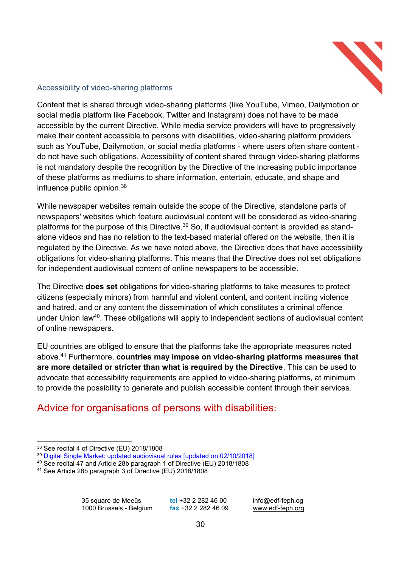

#### Accessibility of video-sharing platforms

Content that is shared through video-sharing platforms (like YouTube, Vimeo, Dailymotion or social media platform like Facebook, Twitter and Instagram) does not have to be made accessible by the current Directive. While media service providers will have to progressively make their content accessible to persons with disabilities, video-sharing platform providers such as YouTube, Dailymotion, or social media platforms - where users often share content do not have such obligations. Accessibility of content shared through video-sharing platforms is not mandatory despite the recognition by the Directive of the increasing public importance of these platforms as mediums to share information, entertain, educate, and shape and influence public opinion.38

While newspaper websites remain outside the scope of the Directive, standalone parts of newspapers' websites which feature audiovisual content will be considered as video-sharing platforms for the purpose of this Directive.<sup>39</sup> So, if audiovisual content is provided as standalone videos and has no relation to the text-based material offered on the website, then it is regulated by the Directive. As we have noted above, the Directive does that have accessibility obligations for video-sharing platforms. This means that the Directive does not set obligations for independent audiovisual content of online newspapers to be accessible.

The Directive **does set** obligations for video-sharing platforms to take measures to protect citizens (especially minors) from harmful and violent content, and content inciting violence and hatred, and or any content the dissemination of which constitutes a criminal offence under Union law<sup>40</sup>. These obligations will apply to independent sections of audiovisual content of online newspapers.

EU countries are obliged to ensure that the platforms take the appropriate measures noted above.41 Furthermore, **countries may impose on video-sharing platforms measures that are more detailed or stricter than what is required by the Directive**. This can be used to advocate that accessibility requirements are applied to video-sharing platforms, at minimum to provide the possibility to generate and publish accessible content through their services.

# Advice for organisations of persons with disabilities**:**

 <sup>38</sup> See recital 4 of Directive (EU) 2018/1808

<sup>&</sup>lt;sup>39</sup> Digital Single Market: updated audiovisual rules [updated on 02/10/2018]

<sup>40</sup> See recital 47 and Article 28b paragraph 1 of Directive (EU) 2018/1808

<sup>41</sup> See Article 28b paragraph 3 of Directive (EU) 2018/1808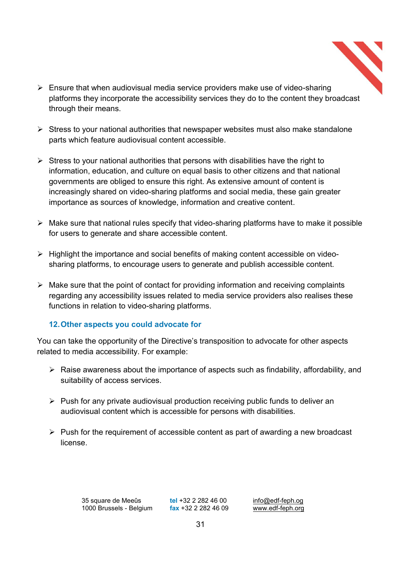- 
- $\triangleright$  Ensure that when audiovisual media service providers make use of video-sharing platforms they incorporate the accessibility services they do to the content they broadcast through their means.
- $\triangleright$  Stress to your national authorities that newspaper websites must also make standalone parts which feature audiovisual content accessible.
- $\triangleright$  Stress to your national authorities that persons with disabilities have the right to information, education, and culture on equal basis to other citizens and that national governments are obliged to ensure this right. As extensive amount of content is increasingly shared on video-sharing platforms and social media, these gain greater importance as sources of knowledge, information and creative content.
- $\triangleright$  Make sure that national rules specify that video-sharing platforms have to make it possible for users to generate and share accessible content.
- $\triangleright$  Highlight the importance and social benefits of making content accessible on videosharing platforms, to encourage users to generate and publish accessible content.
- $\triangleright$  Make sure that the point of contact for providing information and receiving complaints regarding any accessibility issues related to media service providers also realises these functions in relation to video-sharing platforms.

## **12.Other aspects you could advocate for**

You can take the opportunity of the Directive's transposition to advocate for other aspects related to media accessibility. For example:

- $\triangleright$  Raise awareness about the importance of aspects such as findability, affordability, and suitability of access services.
- $\triangleright$  Push for any private audiovisual production receiving public funds to deliver an audiovisual content which is accessible for persons with disabilities.
- $\triangleright$  Push for the requirement of accessible content as part of awarding a new broadcast license.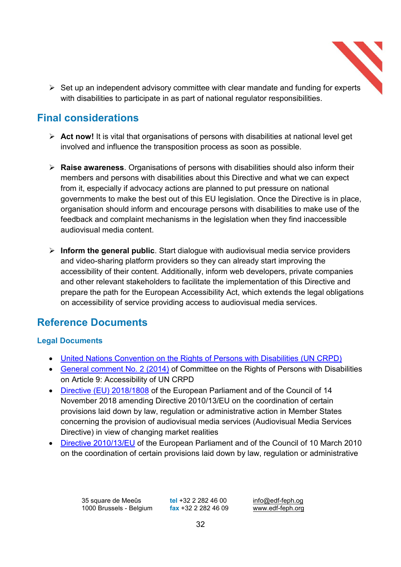

 $\triangleright$  Set up an independent advisory committee with clear mandate and funding for experts with disabilities to participate in as part of national regulator responsibilities.

# **Final considerations**

- ¾ **Act now!** It is vital that organisations of persons with disabilities at national level get involved and influence the transposition process as soon as possible.
- ¾ **Raise awareness**. Organisations of persons with disabilities should also inform their members and persons with disabilities about this Directive and what we can expect from it, especially if advocacy actions are planned to put pressure on national governments to make the best out of this EU legislation. Once the Directive is in place, organisation should inform and encourage persons with disabilities to make use of the feedback and complaint mechanisms in the legislation when they find inaccessible audiovisual media content.
- ¾ **Inform the general public**. Start dialogue with audiovisual media service providers and video-sharing platform providers so they can already start improving the accessibility of their content. Additionally, inform web developers, private companies and other relevant stakeholders to facilitate the implementation of this Directive and prepare the path for the European Accessibility Act, which extends the legal obligations on accessibility of service providing access to audiovisual media services.

# **Reference Documents**

## **Legal Documents**

- United Nations Convention on the Rights of Persons with Disabilities (UN CRPD)
- General comment No. 2 (2014) of Committee on the Rights of Persons with Disabilities on Article 9: Accessibility of UN CRPD
- Directive (EU) 2018/1808 of the European Parliament and of the Council of 14 November 2018 amending Directive 2010/13/EU on the coordination of certain provisions laid down by law, regulation or administrative action in Member States concerning the provision of audiovisual media services (Audiovisual Media Services Directive) in view of changing market realities
- Directive 2010/13/EU of the European Parliament and of the Council of 10 March 2010 on the coordination of certain provisions laid down by law, regulation or administrative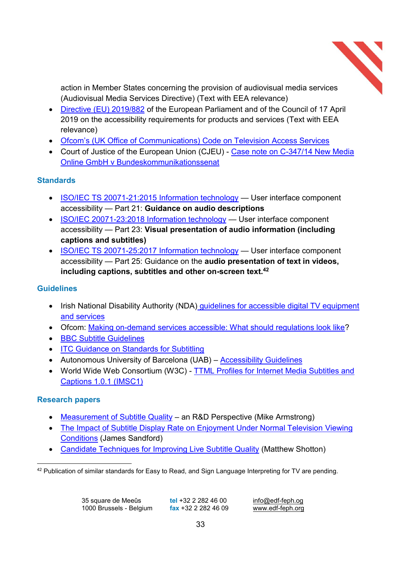

action in Member States concerning the provision of audiovisual media services (Audiovisual Media Services Directive) (Text with EEA relevance)

- Directive (EU) 2019/882 of the European Parliament and of the Council of 17 April 2019 on the accessibility requirements for products and services (Text with EEA relevance)
- Ofcom's (UK Office of Communications) Code on Television Access Services
- Court of Justice of the European Union (CJEU) Case note on C-347/14 New Media Online GmbH v Bundeskommunikationssenat

## **Standards**

- ISO/IEC TS 20071-21:2015 Information technology User interface component accessibility - Part 21: Guidance on audio descriptions
- ISO/IEC 20071-23:2018 Information technology User interface component accessibility - Part 23: Visual presentation of audio information (including **captions and subtitles)**
- ISO/IEC TS 20071-25:2017 Information technology User interface component accessibility - Part 25: Guidance on the **audio presentation of text in videos**, **including captions, subtitles and other on-screen text.42**

## **Guidelines**

- Irish National Disability Authority (NDA) quidelines for accessible digital TV equipment and services
- Ofcom: Making on-demand services accessible: What should regulations look like?
- BBC Subtitle Guidelines
- ITC Guidance on Standards for Subtitling
- Autonomous University of Barcelona (UAB) Accessibility Guidelines
- World Wide Web Consortium (W3C) TTML Profiles for Internet Media Subtitles and Captions 1.0.1 (IMSC1)

## **Research papers**

- Measurement of Subtitle Quality an R&D Perspective (Mike Armstrong)
- The Impact of Subtitle Display Rate on Enjoyment Under Normal Television Viewing Conditions (James Sandford)
- Candidate Techniques for Improving Live Subtitle Quality (Matthew Shotton)

<sup>42</sup> Publication of similar standards for Easy to Read, and Sign Language Interpreting for TV are pending.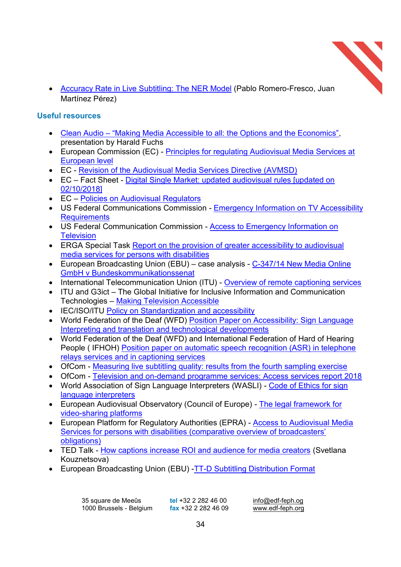

• Accuracy Rate in Live Subtitling: The NER Model (Pablo Romero-Fresco, Juan Martínez Pérez)

#### **Useful resources**

- Clean Audio "Making Media Accessible to all: the Options and the Economics", presentation by Harald Fuchs
- European Commission (EC) Principles for regulating Audiovisual Media Services at European level
- EC Revision of the Audiovisual Media Services Directive (AVMSD)
- EC Fact Sheet Digital Single Market: updated audiovisual rules [updated on 02/10/2018]
- EC Policies on Audiovisual Regulators
- US Federal Communications Commission Emergency Information on TV Accessibility **Requirements**
- US Federal Communication Commission Access to Emergency Information on **Television**
- ERGA Special Task Report on the provision of greater accessibility to audiovisual media services for persons with disabilities
- European Broadcasting Union (EBU) case analysis  $C-347/14$  New Media Online GmbH v Bundeskommunikationssenat
- International Telecommunication Union (ITU) Overview of remote captioning services
- $\bullet$  ITU and G3ict The Global Initiative for Inclusive Information and Communication Technologies - Making Television Accessible
- IEC/ISO/ITU Policy on Standardization and accessibility
- World Federation of the Deaf (WFD) Position Paper on Accessibility: Sign Language Interpreting and translation and technological developments
- World Federation of the Deaf (WFD) and International Federation of Hard of Hearing People ( IFHOH) Position paper on automatic speech recognition (ASR) in telephone relays services and in captioning services
- OfCom Measuring live subtitling quality: results from the fourth sampling exercise
- OfCom Television and on-demand programme services: Access services report 2018
- World Association of Sign Language Interpreters (WASLI) Code of Ethics for sign language interpreters
- European Audiovisual Observatory (Council of Europe) The legal framework for video-sharing platforms
- European Platform for Regulatory Authorities (EPRA) Access to Audiovisual Media Services for persons with disabilities (comparative overview of broadcasters' obligations)
- TED Talk How captions increase ROI and audience for media creators (Svetlana Kouznetsova)
- European Broadcasting Union (EBU) -TT-D Subtitling Distribution Format